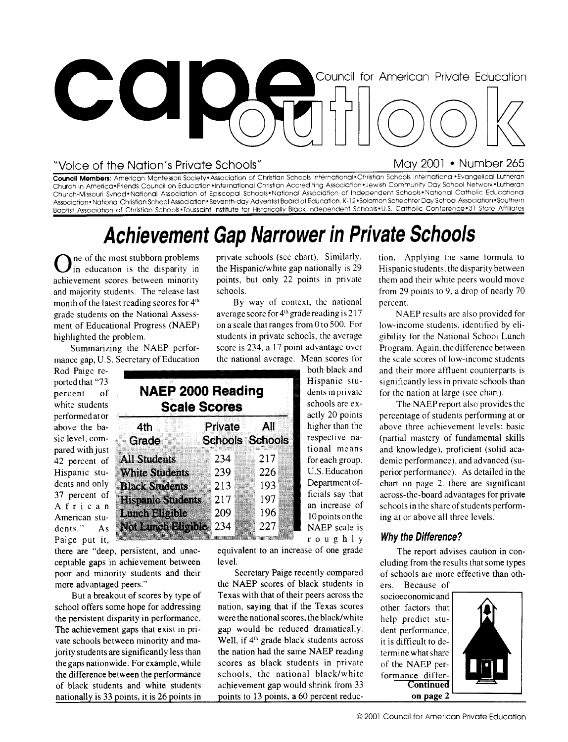

#### "Voice of the Nation's Private Schools" May 2001 • Number 265

**Council Members:** American Montessori Society• Association of Christian Schools International•Christian Schools International• Evangelical Lutheran Church in America•Friends Council on Education•International Christian Accrediting Association•Jewish Community Day School Network•Lutheran Church-Missouri Synod•National Association of Episcopal Schools• National Association of Independent Schools•National Catholic Educational Association • National Christian School Association • Seventh-day Adventist Board of Education, K-1 2 .Solomon Schechter Day School Association •Southern Baptist Association of Christian Schools•Toussaint Institute for Historically Black Independent Schools•U.S. Catholic Conference•31 State Affiliates

## **Achievement Gap Narrower in Private Schools**

**O** in education is the disparity in education is the disparity in ne of the most stubborn problems achievement scores between minority and majority students. The release last month of the latest reading scores for  $4<sup>th</sup>$  grade students on the National Assessment of Educational Progress (NAEP) highlighted the problem.

Summarizing the NAEP performance gap, U.S. Secretary of Education

Rod Paige reported that "73 percent of white students performed at or above the basic level, compared with just 42 percent of Hispanic students and only 37 percent of African American students." As Paige put it,

there are "deep, persistent, and unacceptable gaps in achievement between poor and minority students and their more advantaged peers."

the persistent disparity in performance. were the national scores, the black/white the achievement gaps that exist in pri- gap would be reduced dramatically. of black students and white students achievement gap would shrink from 33

private schools (see chart). Similarly. the Hispanic/white gap nationally is 29 points, but only 22 points in private schools.

By way of context, the national average score for  $4<sup>th</sup>$  grade reading is 217 on a scale that ranges from 0 to 500. For students in private schools, the average score is 234, a 17 point advantage over the national average. Mean scores for both black and

> Hispanic students in private schools are exactly 20 points higher than the respective national means for each group. U.S. Education Department officials say that an increase of 10 points on the NAEP scale is

|       |                          | <b>NAEP 2000 Reading</b><br><b>Scale Scores</b> |                        |  |
|-------|--------------------------|-------------------------------------------------|------------------------|--|
| 4th   |                          | <b>Private</b>                                  | All                    |  |
| Grade |                          |                                                 | <b>Schools Schools</b> |  |
|       | <b>All Students</b>      | 234                                             | 217                    |  |
|       | <b>White Students</b>    | 239                                             | 226                    |  |
|       | <b>Black Students</b>    | 213                                             | 193                    |  |
|       | <b>Hispanic Students</b> | 217                                             | 197                    |  |
|       | Lunch Bligible           | 209                                             | 196                    |  |
|       | Not bindhaligi bio       | 234                                             | 227                    |  |

equivalent to an increase of one grade The report advises caution in con-<br>
cluding from the results that some types

the NAEP scores of black students in ers. Because of But a breakout of scores by type of Texas with that of their peers across the socioeconomic and school offers some hope for addressing nation, saying that if the Texas scores other factors that the persistent disparity in performance. were the national scores, the black/white help predict stu-The achievement gaps that exist in pri- gap would be reduced dramatically. dent performance, vate schools between minority and ma-<br>intervalse black students are significantly less than the nation had the same NAEP reading termine what share jority students are significantly less than the nation had the same NAEP reading termine what share the gaps nationwide. For example, while scores as black students in private of the NAEP perthe difference between the performance schools, the national black/white formance differ-<br>of black students and white students achievement gap would shrink from 33 Continued nationally is 33 points, it is 26 points in points to 13 points, a 60 percent reduc- **on page** 2

tion. Applying the same formula to Hispanic students, the disparity between them and their white peers would move from 29 points to 9, a drop of nearly 70 percent.

NAEP results are also provided for low-income students, identified by eligibility for the National School Lunch Program. Again, the difference between the scale scores of low-income students and their more affluent counterparts is significantly less in private schools than for the nation at large (see chart).

The NAEP report also provides the percentage of students performing at or above three achievement levels: basic (partial mastery of fundamental skills and knowledge), proficient (solid academic performance), and advanced (superior performance). As detailed in the chart on page 2. there are significant across-the-board advantages for private schools in the share of students perform-<br>ing at or above all three levels.

#### **<sup>4</sup>. r o u g h l y Why the Difference?**

cluding from the results that some types Secretary Paige recently compared of schools are more effective than oth-

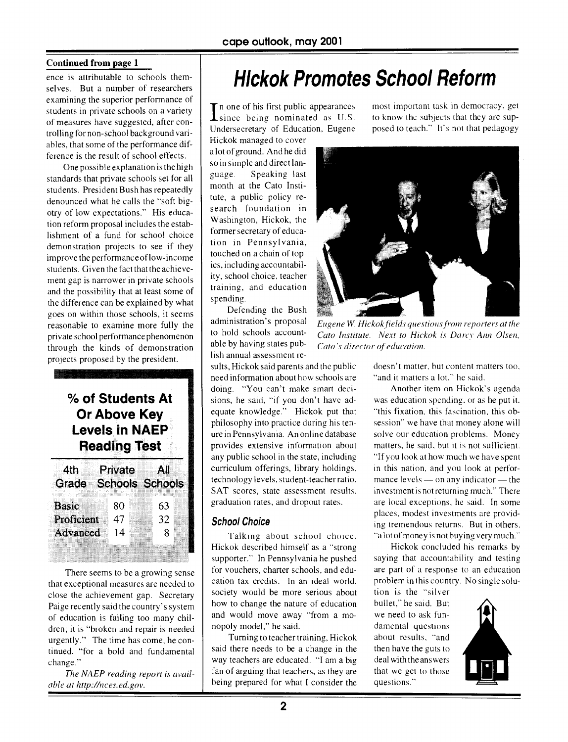#### **Continued from page 1**

ence is attributable to schools themselves. But a number of researchers examining the superior performance of students in private schools on a variety of measures have suggested, after controlling for non-school background variables, that some of the performance difference is the result of school effects.

One possible explanation is the high standards that private schools set for all students. President Bush has repeatedly denounced what he calls the "soft bigotry of low expectations." His education reform proposal includes the establishment of a fund for school choice demonstration projects to see if they improve the performance of low-income students. Given the fact that the achievement gap is narrower in private schools and the possibility that at least some of the difference can be explained by what goes on within those schools, it seems reasonable to examine more fully the private school performance phenomenon through the kinds of demonstration projects proposed by the president.

### **% of Students At Or Above Key Levels in NAEP Reading Test**

| 4th          | Private |                        | All |  |
|--------------|---------|------------------------|-----|--|
| Grade        |         | <b>Schools Schools</b> |     |  |
|              |         |                        |     |  |
| <b>Basic</b> | 80      |                        | 63  |  |
|              |         |                        |     |  |
| Proficient   | 47      |                        | 32  |  |
| Advanced     | 14      |                        | 8   |  |
|              |         |                        |     |  |
|              |         |                        |     |  |
|              |         |                        |     |  |

There seems to be a growing sense that exceptional measures are needed to close the achievement gap. Secretary Paige recently said the country's system of education is failing too many children; it is "broken and repair is needed urgently." The time has come, he continued. "for a bold and fundamental change."

*The NAEP reading report is available at http://nces.ed.gov.* 

## Hickok Promotes School Reform

In one of his first public appearances<br>since being nominated as U.S. n one of his first public appearances Undersecretary of Education. Eugene

Hickok managed to cover a lot of ground. And he did so in simple and direct language. Speaking last month at the Cato Institute, a public policy research foundation in Washington, Hickok, the former secretary of education in Pennsylvania, touched on a chain of topics, including accountability, school choice, teacher training, and education spending.

Defending the Bush administration's proposal to hold schools accountable by having states publish annual assessment re-

sults, Hickok said parents and the public need information about how schools are doing. "You can't make smart decisions, he said, "if you don't have adequate knowledge." Hickok put that philosophy into practice during his tenure in Pennsylvania. An online database provides extensive information about any public school in the state, including curriculum offerings, library holdings. technology levels, student-teacher ratio. SAT scores, state assessment results. graduation rates, and dropout rates.

#### **School Choice**

Talking about school choice. Hickok described himself as a "strong supporter." In Pennsylvania he pushed for vouchers, charter schools, and education tax credits. In an ideal world. society would be more serious about how to change the nature of education and would move away "from a monopoly model," he said.

Turning to teacher training, Hickok said there needs to be a change in the way teachers are educated. "I am a big fan of arguing that teachers, as they are being prepared for what I consider the most important task in democracy, get to know the subjects that they are supposed to teach." It's not that pedagogy



*Eugene W. Hickok fields questions front reporters at the Cato Institute. Next to Hickok is Darcy Ann Olsen, Cato 's director of education.* 

doesn't matter, but content matters too, "and it matters a lot," he said.

Another item on Hickok's agenda was education spending. or as he put it. "this fixation, this fascination, this obsession" we have that money alone will solve our education problems. Money matters, he said, but it is not sufficient. "If you look at how much we have spent in this nation, and you look at performance levels — on any indicator — the investment is not returning much." There are local exceptions, he said. In some places, modest investments are providing tremendous returns. But in others, "a lot of money is not buying very much."

Hickok concluded his remarks by saying that accountability and testing are part of a response to an education problem in this country. No single solu-

tion is the "silver bullet," he said. But we need to ask fundamental questions about results, "and then have the guts to deal with the answers that we get to those questions."

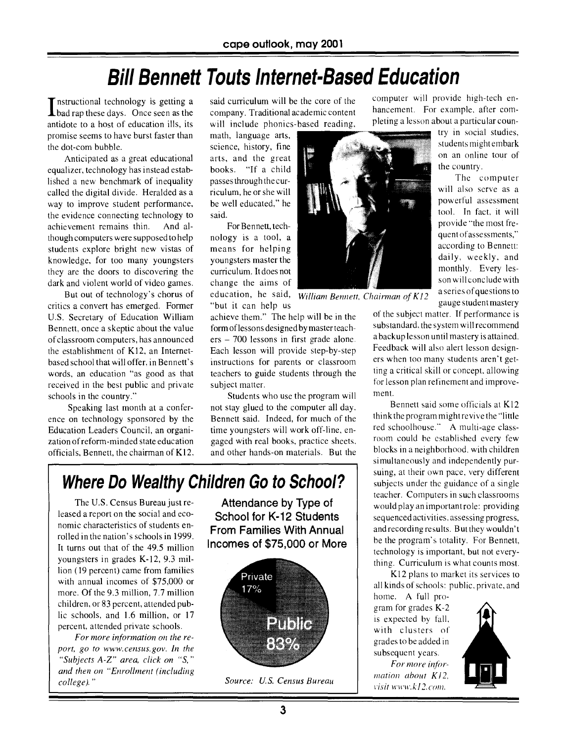## **Bill Bennett Touts Internet-Based Education**

Instructional technology is getting a **L** bad rap these days. Once seen as the antidote to a host of education ills, its promise seems to have burst faster than the dot-com bubble.

Anticipated as a great educational equalizer, technology has instead established a new benchmark of inequality called the digital divide. Heralded as a way to improve student performance, the evidence connecting technology to achievement remains thin. And although computers were supposed to help students explore bright new vistas of knowledge, for too many youngsters they are the doors to discovering the dark and violent world of video games.

But out of technology's chorus of critics a convert has emerged. Former U.S. Secretary of Education William Bennett, once a skeptic about the value of classroom computers, has announced the establishment of K12, an Internetbased school that will offer, in Bennett's words, an education "as good as that received in the best public and private schools in the country."

Speaking last month at a conference on technology sponsored by the Education Leaders Council, an organization of reform-minded state education officials, Bennett, the chairman of K12, said curriculum will be the core of the company. Traditional academic content will include phonics-based reading,

math, language arts, science, history, fine arts, and the great books. "If a child passes through the curriculum, he or she will be well educated," he said.

For Bennett, technology is a tool, a means for helping youngsters master the curriculum. It does not change the aims of education, he said, *William Bennett, Chairman* of *K/2*  "but it can help us

achieve them." The help will be in the form of lessons designed by master teachers — 700 lessons in first grade alone. Each lesson will provide step-by-step instructions for parents or classroom teachers to guide students through the subject matter.

Students who use the program will not stay glued to the computer all day. Bennett said. Indeed, for much of the time youngsters will work off-line, engaged with real books, practice sheets, and other hands-on materials. But the

## **Where Do Wealthy Children Go to School?**

The U.S. Census Bureau just released a report on the social and economic characteristics of students enrolled in the nation's schools in 1999. It turns out that of the 49.5 million youngsters in grades K-12, 9.3 million (19 percent) came from families with annual incomes of \$75,000 or more. Of the 9.3 million, 7.7 million children, or 83 percent, attended public schools, and 1.6 million, or 17 percent, attended private schools.

*For more information on the report, go to www.census.gov . In the "Subjects A-Z" area, click on "S, " and then on "Enrollment (including college). "* 

**Attendance by Type of**  School **for K-12 Students From Families With Annual Incomes of \$75,000 or More** 



computer will provide high-tech enhancement. For example, after completing a lesson about a particular coun-

> try in social studies, students might embark on an online tour of the country.

> The computer will also serve as a powerful assessment tool. In fact, it will provide "the most frequent of assessments," according to Bennett: daily, weekly. and monthly. Every lesson will conclude with a series of questions to gauge student mastery

of the subject matter. If performance is substandard, the system will recommend a backup lesson until mastery is attained. Feedback will also alert lesson designers when too many students aren't getting a critical skill or concept, allowing for lesson plan refinement and improvement.

Bennett said some officials at K12 think the program might revive the "little red schoolhouse." A multi-age classroom could be established every few blocks in a neighborhood. with children simultaneously and independently pursuing, at their own pace, very different subjects under the guidance of a single teacher. Computers in such classrooms would play an important role: providing sequenced activities, assessing progress, and recording results. But they wouldn't be the program's totality. For Bennett, technology is important, but not everything. Curriculum is what counts most.

K12 plans to market its services to all kinds of schools: public, private, and

home. A full program for grades K-2 is expected by fall, with clusters of grades to be added in subsequent years.

For more information about K12. visit www.k12.com.